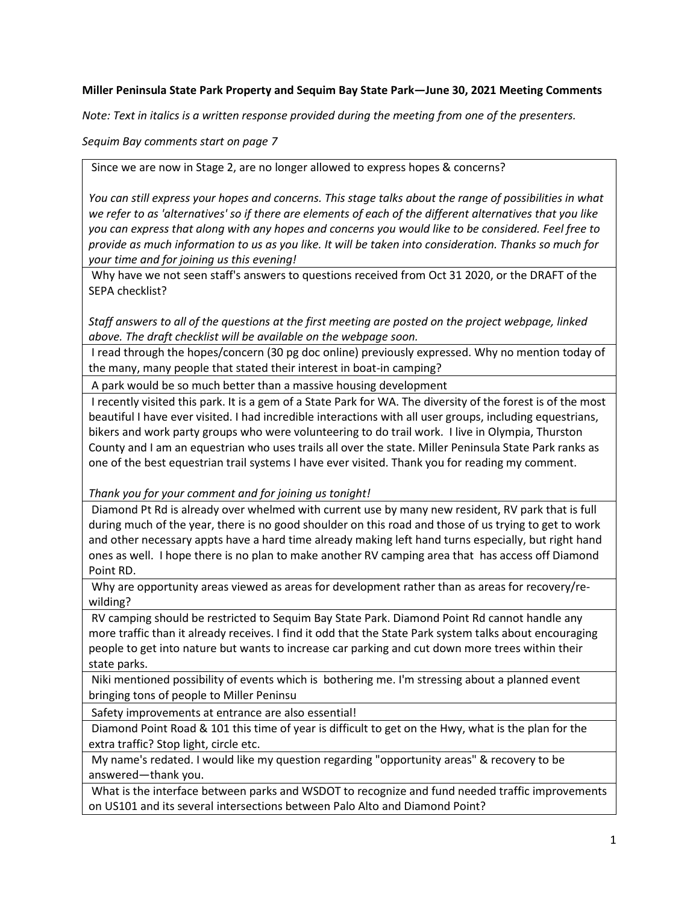## **Miller Peninsula State Park Property and Sequim Bay State Park—June 30, 2021 Meeting Comments**

*Note: Text in italics is a written response provided during the meeting from one of the presenters.*

*Sequim Bay comments start on page 7*

Since we are now in Stage 2, are no longer allowed to express hopes & concerns?

*You can still express your hopes and concerns. This stage talks about the range of possibilities in what we refer to as 'alternatives' so if there are elements of each of the different alternatives that you like you can express that along with any hopes and concerns you would like to be considered. Feel free to provide as much information to us as you like. It will be taken into consideration. Thanks so much for your time and for joining us this evening!*

Why have we not seen staff's answers to questions received from Oct 31 2020, or the DRAFT of the SEPA checklist?

*Staff answers to all of the questions at the first meeting are posted on the project webpage, linked above. The draft checklist will be available on the webpage soon.*

I read through the hopes/concern (30 pg doc online) previously expressed. Why no mention today of the many, many people that stated their interest in boat-in camping?

A park would be so much better than a massive housing development

I recently visited this park. It is a gem of a State Park for WA. The diversity of the forest is of the most beautiful I have ever visited. I had incredible interactions with all user groups, including equestrians, bikers and work party groups who were volunteering to do trail work. I live in Olympia, Thurston County and I am an equestrian who uses trails all over the state. Miller Peninsula State Park ranks as one of the best equestrian trail systems I have ever visited. Thank you for reading my comment.

*Thank you for your comment and for joining us tonight!*

Diamond Pt Rd is already over whelmed with current use by many new resident, RV park that is full during much of the year, there is no good shoulder on this road and those of us trying to get to work and other necessary appts have a hard time already making left hand turns especially, but right hand ones as well. I hope there is no plan to make another RV camping area that has access off Diamond Point RD.

Why are opportunity areas viewed as areas for development rather than as areas for recovery/rewilding?

RV camping should be restricted to Sequim Bay State Park. Diamond Point Rd cannot handle any more traffic than it already receives. I find it odd that the State Park system talks about encouraging people to get into nature but wants to increase car parking and cut down more trees within their state parks.

Niki mentioned possibility of events which is bothering me. I'm stressing about a planned event bringing tons of people to Miller Peninsu

Safety improvements at entrance are also essential!

Diamond Point Road & 101 this time of year is difficult to get on the Hwy, what is the plan for the extra traffic? Stop light, circle etc.

My name's redated. I would like my question regarding "opportunity areas" & recovery to be answered—thank you.

What is the interface between parks and WSDOT to recognize and fund needed traffic improvements on US101 and its several intersections between Palo Alto and Diamond Point?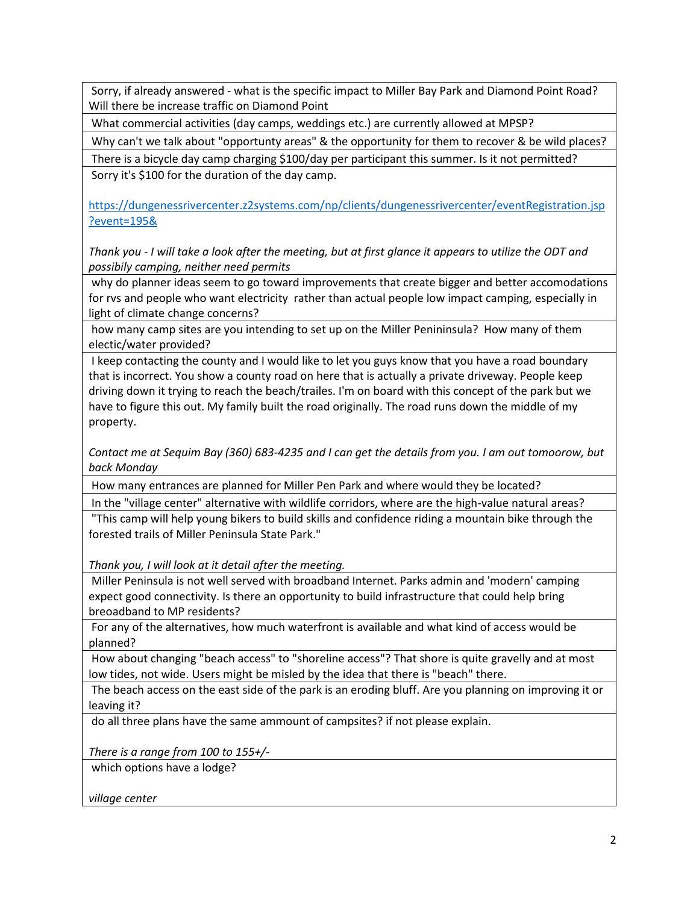Sorry, if already answered - what is the specific impact to Miller Bay Park and Diamond Point Road? Will there be increase traffic on Diamond Point

What commercial activities (day camps, weddings etc.) are currently allowed at MPSP?

Why can't we talk about "opportunty areas" & the opportunity for them to recover & be wild places?

There is a bicycle day camp charging \$100/day per participant this summer. Is it not permitted? Sorry it's \$100 for the duration of the day camp.

[https://dungenessrivercenter.z2systems.com/np/clients/dungenessrivercenter/eventRegistration.jsp](https://dungenessrivercenter.z2systems.com/np/clients/dungenessrivercenter/eventRegistration.jsp?event=195&) [?event=195&](https://dungenessrivercenter.z2systems.com/np/clients/dungenessrivercenter/eventRegistration.jsp?event=195&)

*Thank you - I will take a look after the meeting, but at first glance it appears to utilize the ODT and possibily camping, neither need permits*

why do planner ideas seem to go toward improvements that create bigger and better accomodations for rvs and people who want electricity rather than actual people low impact camping, especially in light of climate change concerns?

how many camp sites are you intending to set up on the Miller Penininsula? How many of them electic/water provided?

I keep contacting the county and I would like to let you guys know that you have a road boundary that is incorrect. You show a county road on here that is actually a private driveway. People keep driving down it trying to reach the beach/trailes. I'm on board with this concept of the park but we have to figure this out. My family built the road originally. The road runs down the middle of my property.

*Contact me at Sequim Bay (360) 683-4235 and I can get the details from you. I am out tomoorow, but back Monday*

How many entrances are planned for Miller Pen Park and where would they be located?

In the "village center" alternative with wildlife corridors, where are the high-value natural areas?

"This camp will help young bikers to build skills and confidence riding a mountain bike through the forested trails of Miller Peninsula State Park."

*Thank you, I will look at it detail after the meeting.*

Miller Peninsula is not well served with broadband Internet. Parks admin and 'modern' camping expect good connectivity. Is there an opportunity to build infrastructure that could help bring breoadband to MP residents?

For any of the alternatives, how much waterfront is available and what kind of access would be planned?

How about changing "beach access" to "shoreline access"? That shore is quite gravelly and at most low tides, not wide. Users might be misled by the idea that there is "beach" there.

The beach access on the east side of the park is an eroding bluff. Are you planning on improving it or leaving it?

do all three plans have the same ammount of campsites? if not please explain.

*There is a range from 100 to 155+/-*

which options have a lodge?

*village center*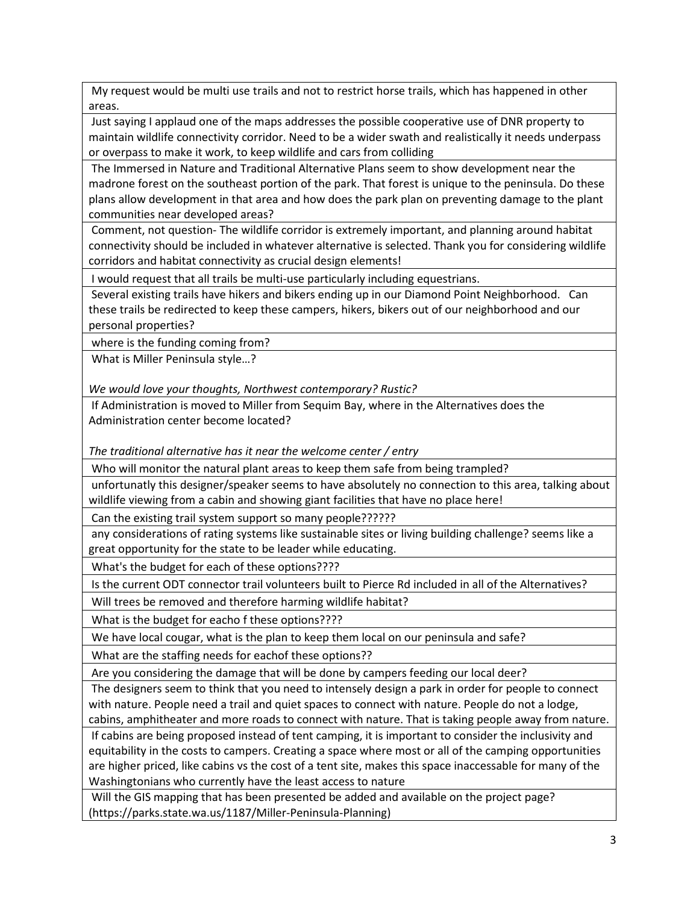My request would be multi use trails and not to restrict horse trails, which has happened in other areas.

Just saying I applaud one of the maps addresses the possible cooperative use of DNR property to maintain wildlife connectivity corridor. Need to be a wider swath and realistically it needs underpass or overpass to make it work, to keep wildlife and cars from colliding

The Immersed in Nature and Traditional Alternative Plans seem to show development near the madrone forest on the southeast portion of the park. That forest is unique to the peninsula. Do these plans allow development in that area and how does the park plan on preventing damage to the plant communities near developed areas?

Comment, not question- The wildlife corridor is extremely important, and planning around habitat connectivity should be included in whatever alternative is selected. Thank you for considering wildlife corridors and habitat connectivity as crucial design elements!

I would request that all trails be multi-use particularly including equestrians.

Several existing trails have hikers and bikers ending up in our Diamond Point Neighborhood. Can these trails be redirected to keep these campers, hikers, bikers out of our neighborhood and our personal properties?

where is the funding coming from?

What is Miller Peninsula style…?

*We would love your thoughts, Northwest contemporary? Rustic?*

If Administration is moved to Miller from Sequim Bay, where in the Alternatives does the Administration center become located?

*The traditional alternative has it near the welcome center / entry*

Who will monitor the natural plant areas to keep them safe from being trampled?

unfortunatly this designer/speaker seems to have absolutely no connection to this area, talking about wildlife viewing from a cabin and showing giant facilities that have no place here!

Can the existing trail system support so many people??????

any considerations of rating systems like sustainable sites or living building challenge? seems like a great opportunity for the state to be leader while educating.

What's the budget for each of these options????

Is the current ODT connector trail volunteers built to Pierce Rd included in all of the Alternatives?

Will trees be removed and therefore harming wildlife habitat?

What is the budget for eacho f these options????

We have local cougar, what is the plan to keep them local on our peninsula and safe?

What are the staffing needs for eachof these options??

Are you considering the damage that will be done by campers feeding our local deer?

The designers seem to think that you need to intensely design a park in order for people to connect with nature. People need a trail and quiet spaces to connect with nature. People do not a lodge, cabins, amphitheater and more roads to connect with nature. That is taking people away from nature.

If cabins are being proposed instead of tent camping, it is important to consider the inclusivity and equitability in the costs to campers. Creating a space where most or all of the camping opportunities are higher priced, like cabins vs the cost of a tent site, makes this space inaccessable for many of the Washingtonians who currently have the least access to nature

Will the GIS mapping that has been presented be added and available on the project page? (https://parks.state.wa.us/1187/Miller-Peninsula-Planning)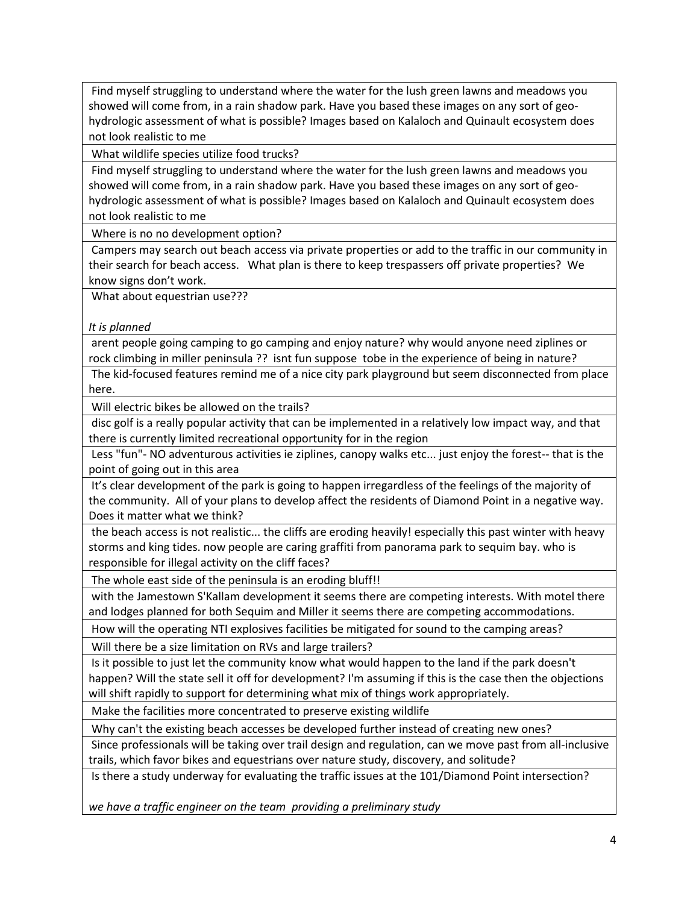Find myself struggling to understand where the water for the lush green lawns and meadows you showed will come from, in a rain shadow park. Have you based these images on any sort of geohydrologic assessment of what is possible? Images based on Kalaloch and Quinault ecosystem does not look realistic to me

What wildlife species utilize food trucks?

Find myself struggling to understand where the water for the lush green lawns and meadows you showed will come from, in a rain shadow park. Have you based these images on any sort of geohydrologic assessment of what is possible? Images based on Kalaloch and Quinault ecosystem does not look realistic to me

Where is no no development option?

Campers may search out beach access via private properties or add to the traffic in our community in their search for beach access. What plan is there to keep trespassers off private properties? We know signs don't work.

What about equestrian use???

*It is planned*

arent people going camping to go camping and enjoy nature? why would anyone need ziplines or rock climbing in miller peninsula ?? isnt fun suppose tobe in the experience of being in nature?

The kid-focused features remind me of a nice city park playground but seem disconnected from place here.

Will electric bikes be allowed on the trails?

disc golf is a really popular activity that can be implemented in a relatively low impact way, and that there is currently limited recreational opportunity for in the region

Less "fun"- NO adventurous activities ie ziplines, canopy walks etc... just enjoy the forest-- that is the point of going out in this area

It's clear development of the park is going to happen irregardless of the feelings of the majority of the community. All of your plans to develop affect the residents of Diamond Point in a negative way. Does it matter what we think?

the beach access is not realistic... the cliffs are eroding heavily! especially this past winter with heavy storms and king tides. now people are caring graffiti from panorama park to sequim bay. who is responsible for illegal activity on the cliff faces?

The whole east side of the peninsula is an eroding bluff!!

with the Jamestown S'Kallam development it seems there are competing interests. With motel there and lodges planned for both Sequim and Miller it seems there are competing accommodations.

How will the operating NTI explosives facilities be mitigated for sound to the camping areas?

Will there be a size limitation on RVs and large trailers?

Is it possible to just let the community know what would happen to the land if the park doesn't happen? Will the state sell it off for development? I'm assuming if this is the case then the objections will shift rapidly to support for determining what mix of things work appropriately.

Make the facilities more concentrated to preserve existing wildlife

Why can't the existing beach accesses be developed further instead of creating new ones?

Since professionals will be taking over trail design and regulation, can we move past from all-inclusive trails, which favor bikes and equestrians over nature study, discovery, and solitude?

Is there a study underway for evaluating the traffic issues at the 101/Diamond Point intersection?

*we have a traffic engineer on the team providing a preliminary study*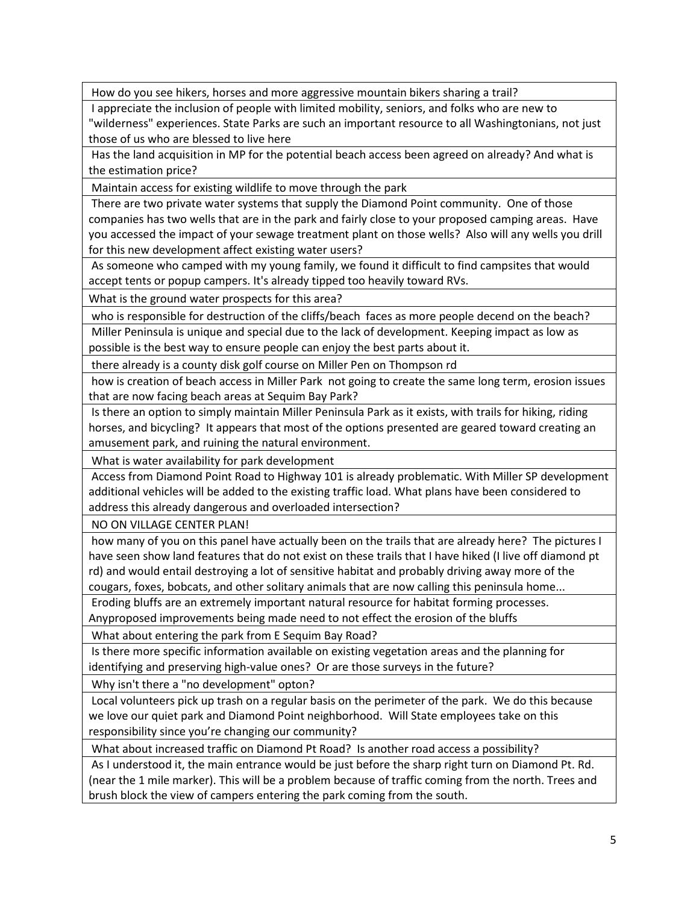How do you see hikers, horses and more aggressive mountain bikers sharing a trail?

I appreciate the inclusion of people with limited mobility, seniors, and folks who are new to "wilderness" experiences. State Parks are such an important resource to all Washingtonians, not just those of us who are blessed to live here

Has the land acquisition in MP for the potential beach access been agreed on already? And what is the estimation price?

Maintain access for existing wildlife to move through the park

There are two private water systems that supply the Diamond Point community. One of those companies has two wells that are in the park and fairly close to your proposed camping areas. Have you accessed the impact of your sewage treatment plant on those wells? Also will any wells you drill for this new development affect existing water users?

As someone who camped with my young family, we found it difficult to find campsites that would accept tents or popup campers. It's already tipped too heavily toward RVs.

What is the ground water prospects for this area?

who is responsible for destruction of the cliffs/beach faces as more people decend on the beach? Miller Peninsula is unique and special due to the lack of development. Keeping impact as low as possible is the best way to ensure people can enjoy the best parts about it.

there already is a county disk golf course on Miller Pen on Thompson rd

how is creation of beach access in Miller Park not going to create the same long term, erosion issues that are now facing beach areas at Sequim Bay Park?

Is there an option to simply maintain Miller Peninsula Park as it exists, with trails for hiking, riding horses, and bicycling? It appears that most of the options presented are geared toward creating an amusement park, and ruining the natural environment.

What is water availability for park development

Access from Diamond Point Road to Highway 101 is already problematic. With Miller SP development additional vehicles will be added to the existing traffic load. What plans have been considered to address this already dangerous and overloaded intersection?

NO ON VILLAGE CENTER PLAN!

how many of you on this panel have actually been on the trails that are already here? The pictures I have seen show land features that do not exist on these trails that I have hiked (I live off diamond pt rd) and would entail destroying a lot of sensitive habitat and probably driving away more of the cougars, foxes, bobcats, and other solitary animals that are now calling this peninsula home...

Eroding bluffs are an extremely important natural resource for habitat forming processes. Anyproposed improvements being made need to not effect the erosion of the bluffs

What about entering the park from E Sequim Bay Road?

Is there more specific information available on existing vegetation areas and the planning for identifying and preserving high-value ones? Or are those surveys in the future?

Why isn't there a "no development" opton?

Local volunteers pick up trash on a regular basis on the perimeter of the park. We do this because we love our quiet park and Diamond Point neighborhood. Will State employees take on this responsibility since you're changing our community?

What about increased traffic on Diamond Pt Road? Is another road access a possibility?

As I understood it, the main entrance would be just before the sharp right turn on Diamond Pt. Rd. (near the 1 mile marker). This will be a problem because of traffic coming from the north. Trees and brush block the view of campers entering the park coming from the south.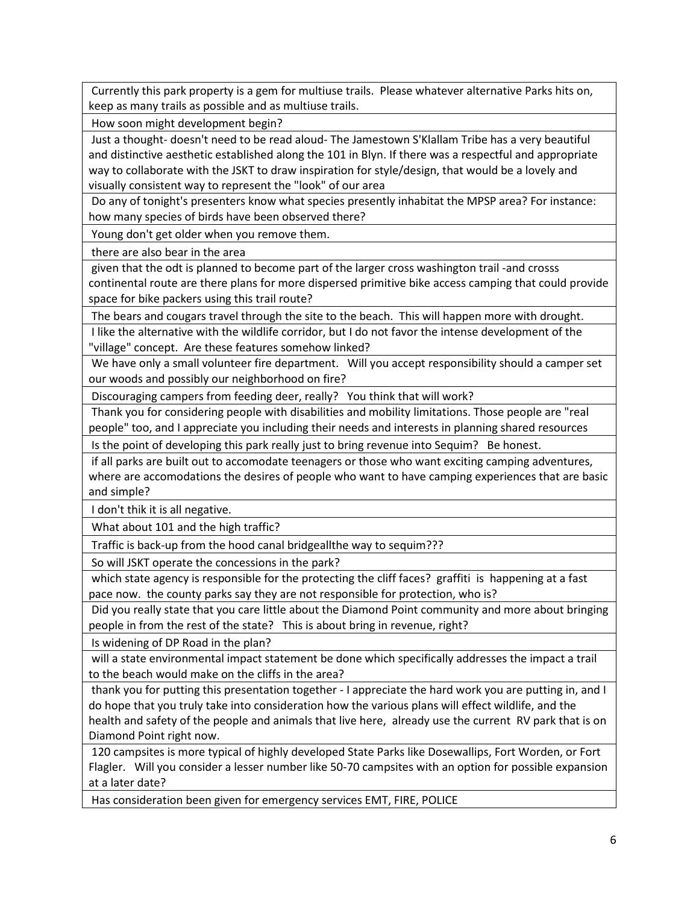Currently this park property is a gem for multiuse trails. Please whatever alternative Parks hits on, keep as many trails as possible and as multiuse trails.

How soon might development begin?

Just a thought- doesn't need to be read aloud- The Jamestown S'Klallam Tribe has a very beautiful and distinctive aesthetic established along the 101 in Blyn. If there was a respectful and appropriate way to collaborate with the JSKT to draw inspiration for style/design, that would be a lovely and visually consistent way to represent the "look" of our area

Do any of tonight's presenters know what species presently inhabitat the MPSP area? For instance: how many species of birds have been observed there?

Young don't get older when you remove them.

there are also bear in the area

given that the odt is planned to become part of the larger cross washington trail -and crosss continental route are there plans for more dispersed primitive bike access camping that could provide space for bike packers using this trail route?

The bears and cougars travel through the site to the beach. This will happen more with drought.

I like the alternative with the wildlife corridor, but I do not favor the intense development of the "village" concept. Are these features somehow linked?

We have only a small volunteer fire department. Will you accept responsibility should a camper set our woods and possibly our neighborhood on fire?

Discouraging campers from feeding deer, really? You think that will work?

Thank you for considering people with disabilities and mobility limitations. Those people are "real people" too, and I appreciate you including their needs and interests in planning shared resources

Is the point of developing this park really just to bring revenue into Sequim? Be honest.

if all parks are built out to accomodate teenagers or those who want exciting camping adventures, where are accomodations the desires of people who want to have camping experiences that are basic and simple?

I don't thik it is all negative.

What about 101 and the high traffic?

Traffic is back-up from the hood canal bridgeallthe way to sequim???

So will JSKT operate the concessions in the park?

which state agency is responsible for the protecting the cliff faces? graffiti is happening at a fast pace now. the county parks say they are not responsible for protection, who is?

Did you really state that you care little about the Diamond Point community and more about bringing people in from the rest of the state? This is about bring in revenue, right?

Is widening of DP Road in the plan?

will a state environmental impact statement be done which specifically addresses the impact a trail to the beach would make on the cliffs in the area?

thank you for putting this presentation together - I appreciate the hard work you are putting in, and I do hope that you truly take into consideration how the various plans will effect wildlife, and the health and safety of the people and animals that live here, already use the current RV park that is on Diamond Point right now.

120 campsites is more typical of highly developed State Parks like Dosewallips, Fort Worden, or Fort Flagler. Will you consider a lesser number like 50-70 campsites with an option for possible expansion at a later date?

Has consideration been given for emergency services EMT, FIRE, POLICE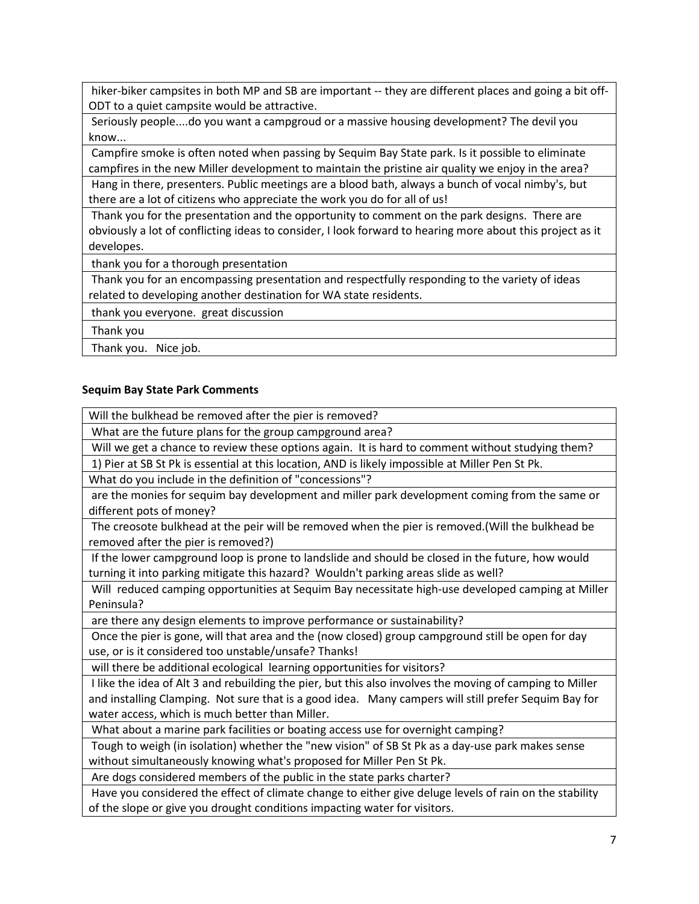hiker-biker campsites in both MP and SB are important -- they are different places and going a bit off-ODT to a quiet campsite would be attractive.

Seriously people....do you want a campgroud or a massive housing development? The devil you know...

Campfire smoke is often noted when passing by Sequim Bay State park. Is it possible to eliminate campfires in the new Miller development to maintain the pristine air quality we enjoy in the area?

Hang in there, presenters. Public meetings are a blood bath, always a bunch of vocal nimby's, but there are a lot of citizens who appreciate the work you do for all of us!

Thank you for the presentation and the opportunity to comment on the park designs. There are obviously a lot of conflicting ideas to consider, I look forward to hearing more about this project as it developes.

thank you for a thorough presentation

Thank you for an encompassing presentation and respectfully responding to the variety of ideas related to developing another destination for WA state residents.

thank you everyone. great discussion

Thank you

Thank you. Nice job.

## **Sequim Bay State Park Comments**

Will the bulkhead be removed after the pier is removed?

What are the future plans for the group campground area?

Will we get a chance to review these options again. It is hard to comment without studying them?

1) Pier at SB St Pk is essential at this location, AND is likely impossible at Miller Pen St Pk.

What do you include in the definition of "concessions"?

are the monies for sequim bay development and miller park development coming from the same or different pots of money?

The creosote bulkhead at the peir will be removed when the pier is removed.(Will the bulkhead be removed after the pier is removed?)

If the lower campground loop is prone to landslide and should be closed in the future, how would turning it into parking mitigate this hazard? Wouldn't parking areas slide as well?

Will reduced camping opportunities at Sequim Bay necessitate high-use developed camping at Miller Peninsula?

are there any design elements to improve performance or sustainability?

Once the pier is gone, will that area and the (now closed) group campground still be open for day use, or is it considered too unstable/unsafe? Thanks!

will there be additional ecological learning opportunities for visitors?

I like the idea of Alt 3 and rebuilding the pier, but this also involves the moving of camping to Miller and installing Clamping. Not sure that is a good idea. Many campers will still prefer Sequim Bay for water access, which is much better than Miller.

What about a marine park facilities or boating access use for overnight camping?

Tough to weigh (in isolation) whether the "new vision" of SB St Pk as a day-use park makes sense without simultaneously knowing what's proposed for Miller Pen St Pk.

Are dogs considered members of the public in the state parks charter?

Have you considered the effect of climate change to either give deluge levels of rain on the stability of the slope or give you drought conditions impacting water for visitors.